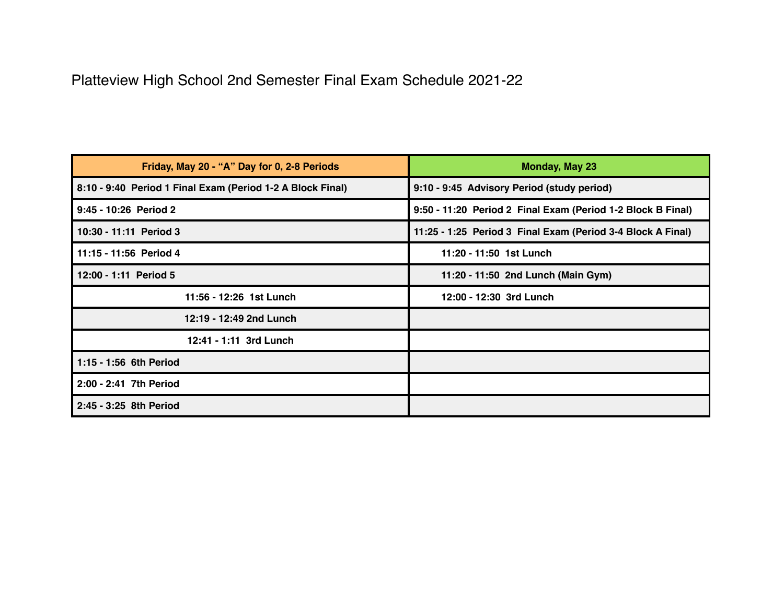## Platteview High School 2nd Semester Final Exam Schedule 2021-22

| Friday, May 20 - "A" Day for 0, 2-8 Periods                | <b>Monday, May 23</b>                                       |
|------------------------------------------------------------|-------------------------------------------------------------|
| 8:10 - 9:40 Period 1 Final Exam (Period 1-2 A Block Final) | 9:10 - 9:45 Advisory Period (study period)                  |
| 9:45 - 10:26 Period 2                                      | 9:50 - 11:20 Period 2 Final Exam (Period 1-2 Block B Final) |
| 10:30 - 11:11 Period 3                                     | 11:25 - 1:25 Period 3 Final Exam (Period 3-4 Block A Final) |
| 11:15 - 11:56 Period 4                                     | 11:20 - 11:50 1st Lunch                                     |
| 12:00 - 1:11 Period 5                                      | 11:20 - 11:50 2nd Lunch (Main Gym)                          |
| 11:56 - 12:26 1st Lunch                                    | 12:00 - 12:30 3rd Lunch                                     |
| 12:19 - 12:49 2nd Lunch                                    |                                                             |
| 12:41 - 1:11 3rd Lunch                                     |                                                             |
| 1:15 - 1:56 6th Period                                     |                                                             |
| 2:00 - 2:41 7th Period                                     |                                                             |
| 2:45 - 3:25 8th Period                                     |                                                             |